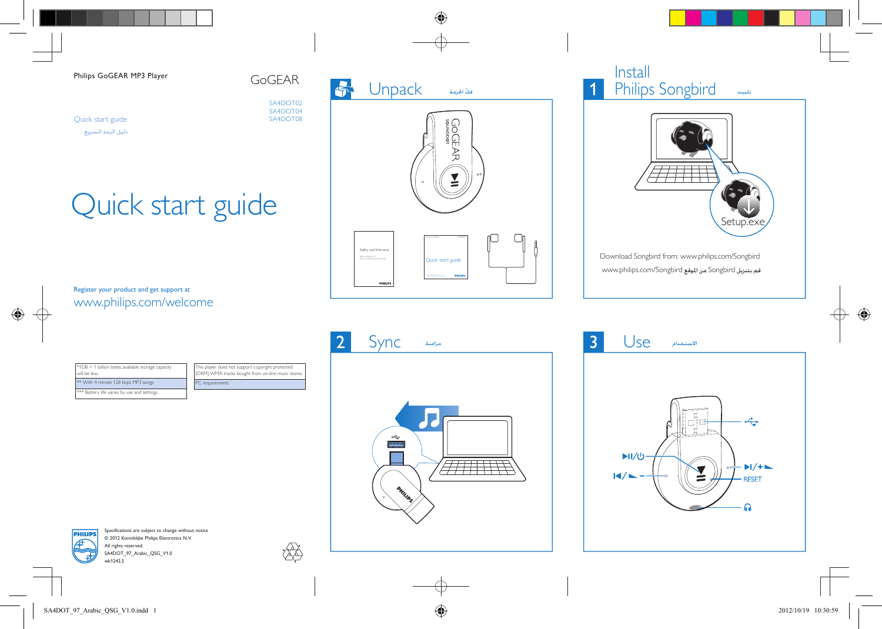#### Philips GoGEAR MP3 Player

Quick start guide دليل البدء السريع GoGEAR

SA4DOT02 SA4DOT04 SA4DOT08

# Quick start guide

### Register your product and get support at www.philips.com/welcome



### Install Philips Songbird تثبيت



Download Songbird from: www.philips.com/Songbird قم بتنزيل Songbird من املوقع Songbird/com.philips.www

| #1GB = 1 billion bytes; available storage capacity<br>will be less. |  |
|---------------------------------------------------------------------|--|
| <sup>**</sup> With 4 minute 128 kbps MP3 songs                      |  |

\* Battery life varies by use and settings

C requirements his player does not support copyright protected DRM) WMA tracks bought from on-line music stores